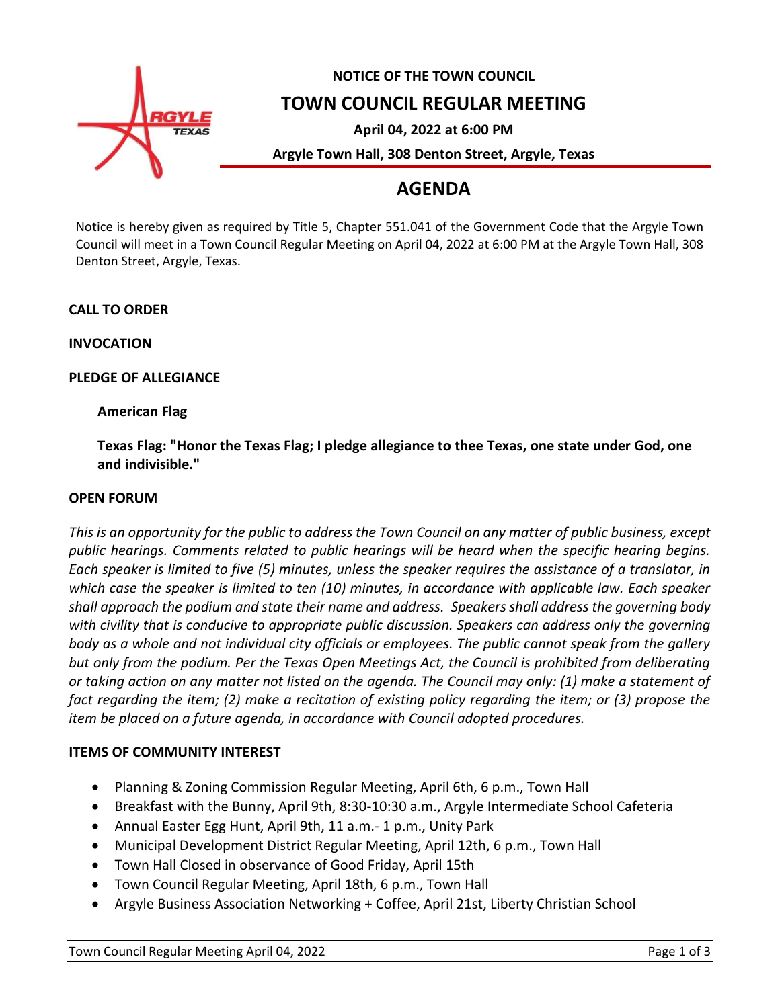

# **NOTICE OF THE TOWN COUNCIL**

**TOWN COUNCIL REGULAR MEETING**

**April 04, 2022 at 6:00 PM**

**Argyle Town Hall, 308 Denton Street, Argyle, Texas**

# **AGENDA**

Notice is hereby given as required by Title 5, Chapter 551.041 of the Government Code that the Argyle Town Council will meet in a Town Council Regular Meeting on April 04, 2022 at 6:00 PM at the Argyle Town Hall, 308 Denton Street, Argyle, Texas.

# **CALL TO ORDER**

**INVOCATION**

# **PLEDGE OF ALLEGIANCE**

# **American Flag**

**Texas Flag: "Honor the Texas Flag; I pledge allegiance to thee Texas, one state under God, one and indivisible."**

#### **OPEN FORUM**

*This is an opportunity for the public to address the Town Council on any matter of public business, except public hearings. Comments related to public hearings will be heard when the specific hearing begins. Each speaker is limited to five (5) minutes, unless the speaker requires the assistance of a translator, in which case the speaker is limited to ten (10) minutes, in accordance with applicable law. Each speaker shall approach the podium and state their name and address. Speakers shall address the governing body with civility that is conducive to appropriate public discussion. Speakers can address only the governing body as a whole and not individual city officials or employees. The public cannot speak from the gallery but only from the podium. Per the Texas Open Meetings Act, the Council is prohibited from deliberating or taking action on any matter not listed on the agenda. The Council may only: (1) make a statement of fact regarding the item; (2) make a recitation of existing policy regarding the item; or (3) propose the item be placed on a future agenda, in accordance with Council adopted procedures.*

#### **ITEMS OF COMMUNITY INTEREST**

- Planning & Zoning Commission Regular Meeting, April 6th, 6 p.m., Town Hall
- Breakfast with the Bunny, April 9th, 8:30-10:30 a.m., Argyle Intermediate School Cafeteria
- Annual Easter Egg Hunt, April 9th, 11 a.m.- 1 p.m., Unity Park
- Municipal Development District Regular Meeting, April 12th, 6 p.m., Town Hall
- Town Hall Closed in observance of Good Friday, April 15th
- Town Council Regular Meeting, April 18th, 6 p.m., Town Hall
- Argyle Business Association Networking + Coffee, April 21st, Liberty Christian School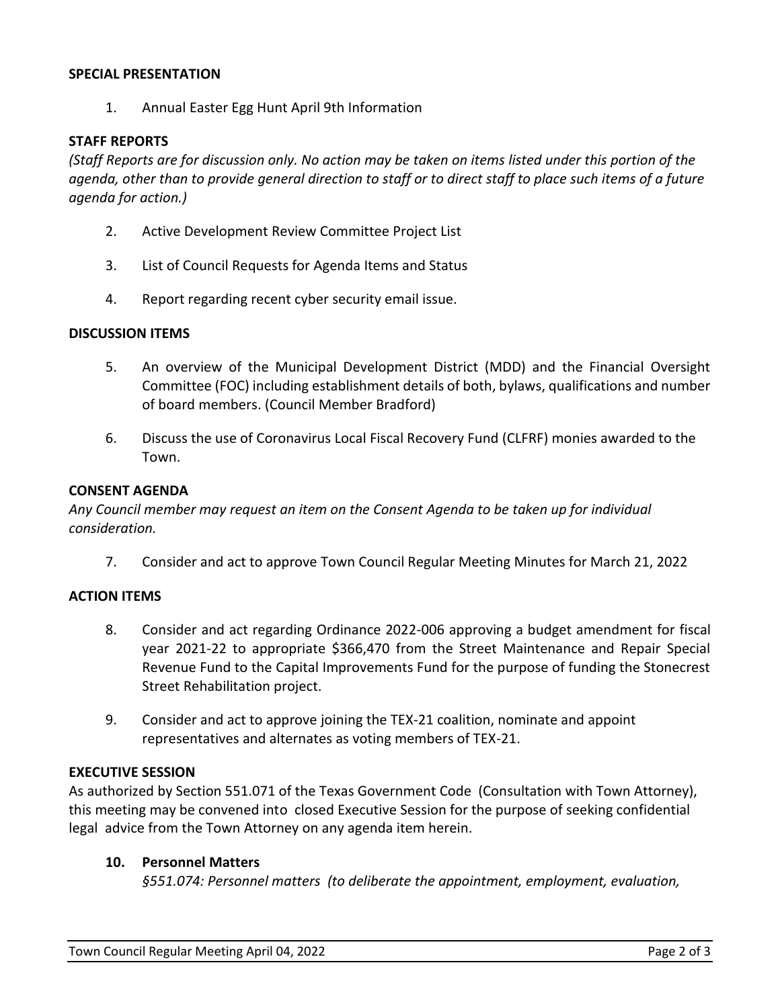#### **SPECIAL PRESENTATION**

1. Annual Easter Egg Hunt April 9th Information

#### **STAFF REPORTS**

*(Staff Reports are for discussion only. No action may be taken on items listed under this portion of the agenda, other than to provide general direction to staff or to direct staff to place such items of a future agenda for action.)*

- 2. Active Development Review Committee Project List
- 3. List of Council Requests for Agenda Items and Status
- 4. Report regarding recent cyber security email issue.

#### **DISCUSSION ITEMS**

- 5. An overview of the Municipal Development District (MDD) and the Financial Oversight Committee (FOC) including establishment details of both, bylaws, qualifications and number of board members. (Council Member Bradford)
- 6. Discuss the use of Coronavirus Local Fiscal Recovery Fund (CLFRF) monies awarded to the Town.

#### **CONSENT AGENDA**

*Any Council member may request an item on the Consent Agenda to be taken up for individual consideration.*

7. Consider and act to approve Town Council Regular Meeting Minutes for March 21, 2022

#### **ACTION ITEMS**

- 8. Consider and act regarding Ordinance 2022-006 approving a budget amendment for fiscal year 2021-22 to appropriate \$366,470 from the Street Maintenance and Repair Special Revenue Fund to the Capital Improvements Fund for the purpose of funding the Stonecrest Street Rehabilitation project.
- 9. Consider and act to approve joining the TEX-21 coalition, nominate and appoint representatives and alternates as voting members of TEX-21.

#### **EXECUTIVE SESSION**

As authorized by Section 551.071 of the Texas Government Code (Consultation with Town Attorney), this meeting may be convened into closed Executive Session for the purpose of seeking confidential legal advice from the Town Attorney on any agenda item herein.

#### **10. Personnel Matters**

*§551.074: Personnel matters (to deliberate the appointment, employment, evaluation,*